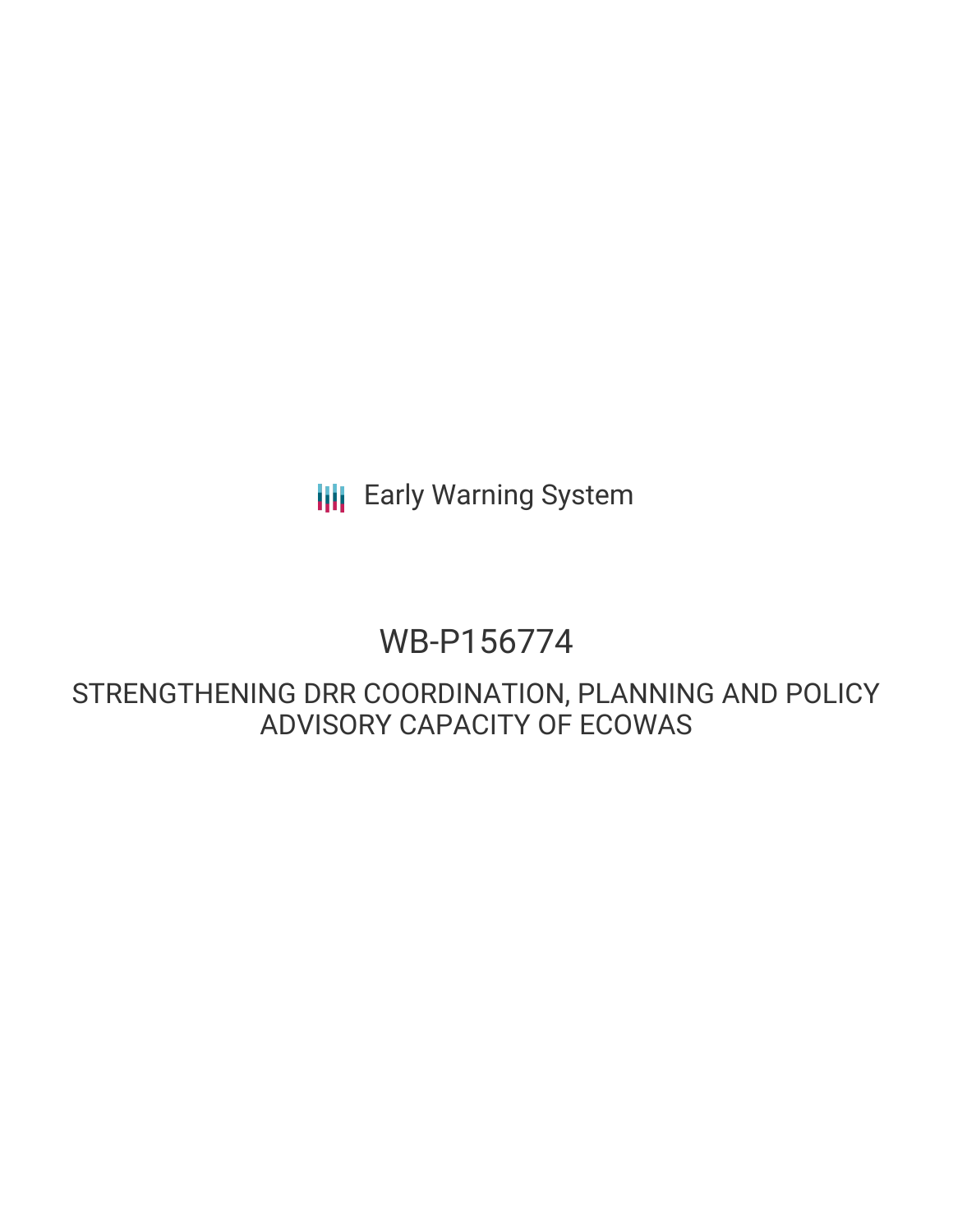**III** Early Warning System

# WB-P156774

STRENGTHENING DRR COORDINATION, PLANNING AND POLICY ADVISORY CAPACITY OF ECOWAS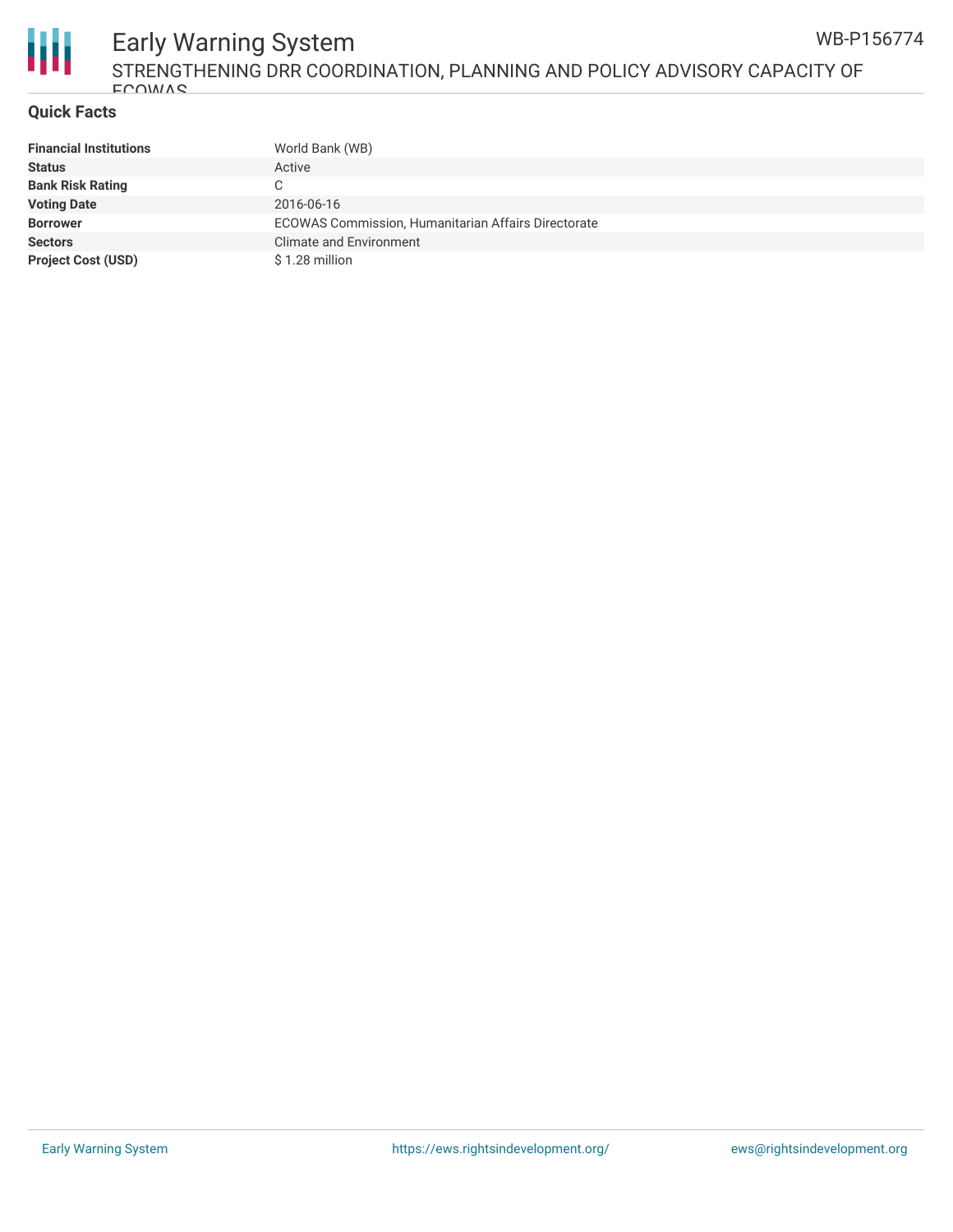

#### Early Warning System STRENGTHENING DRR COORDINATION, PLANNING AND POLICY ADVISORY CAPACITY OF **ECOWAS** WB-P156774

## **Quick Facts**

| <b>Financial Institutions</b> | World Bank (WB)                                     |
|-------------------------------|-----------------------------------------------------|
| <b>Status</b>                 | Active                                              |
| <b>Bank Risk Rating</b>       | C                                                   |
| <b>Voting Date</b>            | 2016-06-16                                          |
| <b>Borrower</b>               | ECOWAS Commission, Humanitarian Affairs Directorate |
| <b>Sectors</b>                | <b>Climate and Environment</b>                      |
| <b>Project Cost (USD)</b>     | \$1.28 million                                      |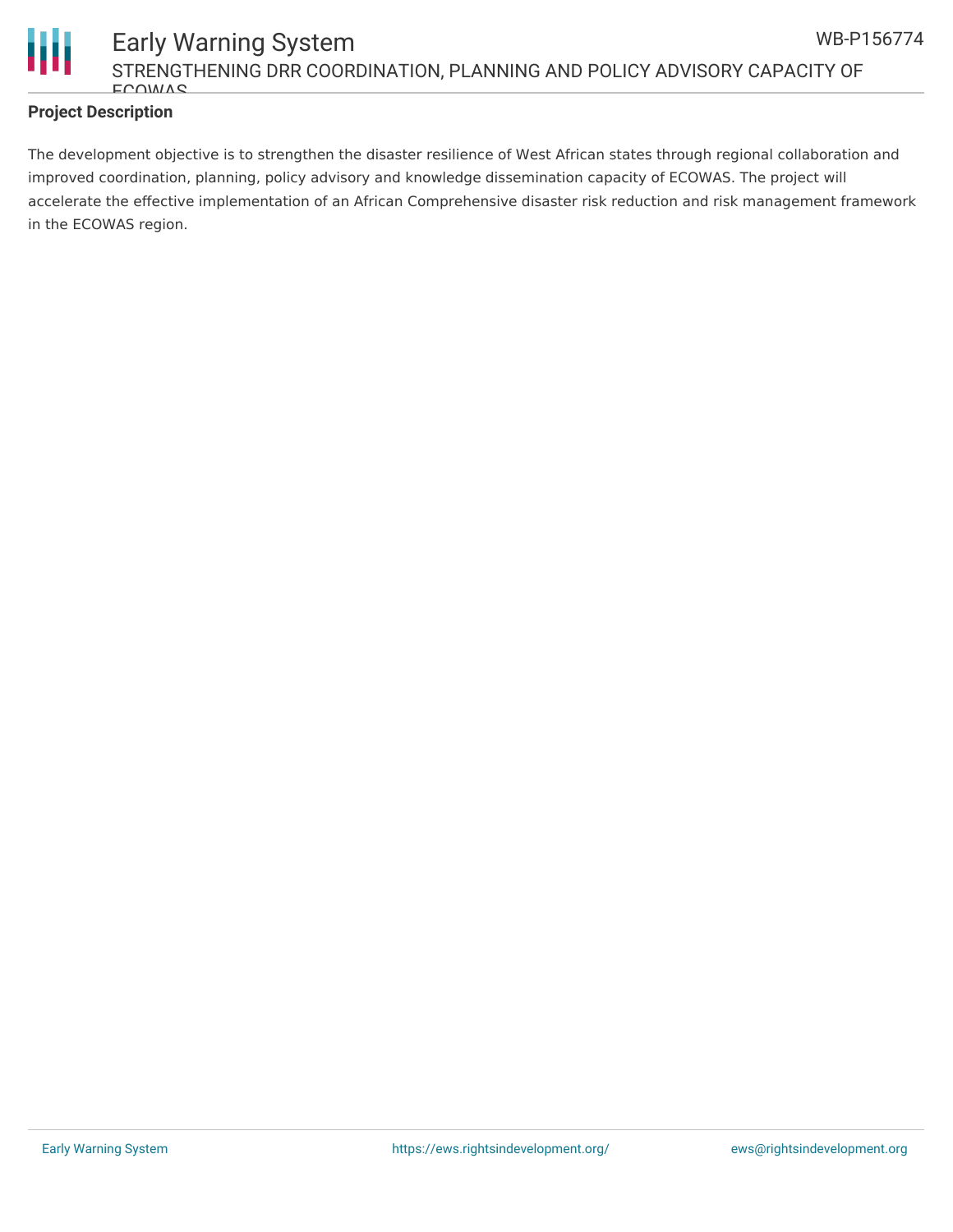

## **Project Description**

The development objective is to strengthen the disaster resilience of West African states through regional collaboration and improved coordination, planning, policy advisory and knowledge dissemination capacity of ECOWAS. The project will accelerate the effective implementation of an African Comprehensive disaster risk reduction and risk management framework in the ECOWAS region.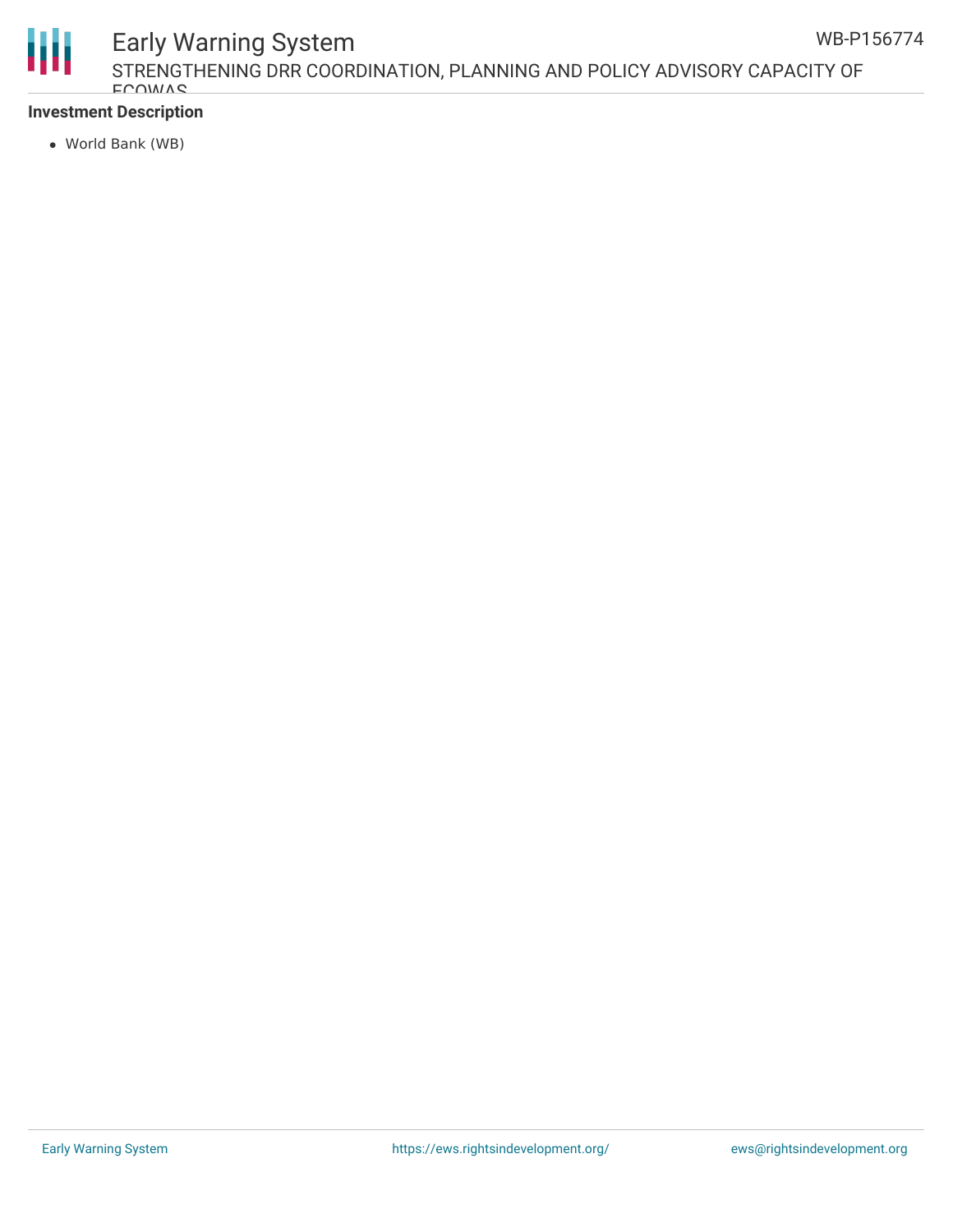

## Early Warning System

STRENGTHENING DRR COORDINATION, PLANNING AND POLICY ADVISORY CAPACITY OF **ECOWAS** 

## **Investment Description**

World Bank (WB)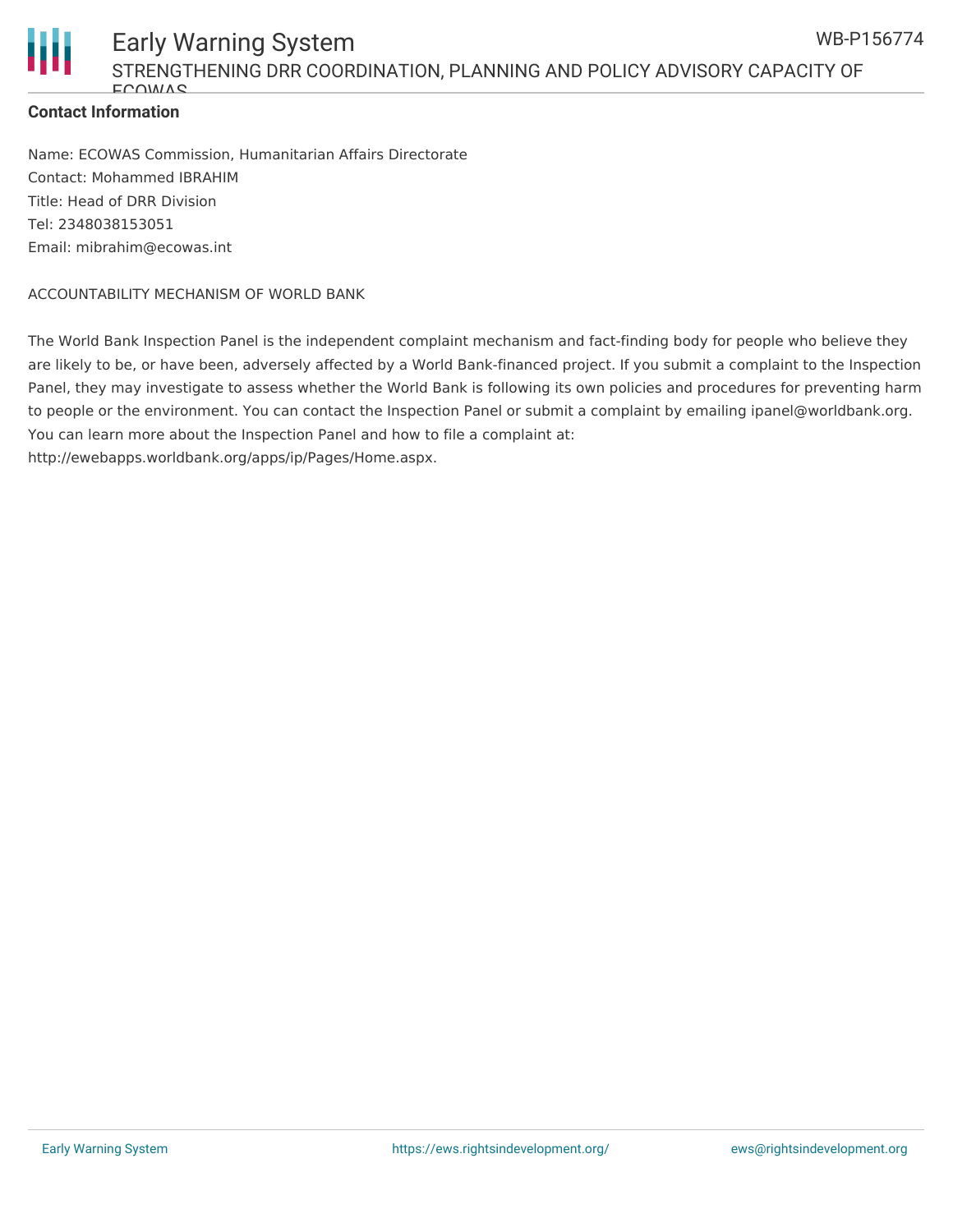

## **Contact Information**

Name: ECOWAS Commission, Humanitarian Affairs Directorate Contact: Mohammed IBRAHIM Title: Head of DRR Division Tel: 2348038153051 Email: mibrahim@ecowas.int

### ACCOUNTABILITY MECHANISM OF WORLD BANK

The World Bank Inspection Panel is the independent complaint mechanism and fact-finding body for people who believe they are likely to be, or have been, adversely affected by a World Bank-financed project. If you submit a complaint to the Inspection Panel, they may investigate to assess whether the World Bank is following its own policies and procedures for preventing harm to people or the environment. You can contact the Inspection Panel or submit a complaint by emailing ipanel@worldbank.org. You can learn more about the Inspection Panel and how to file a complaint at: http://ewebapps.worldbank.org/apps/ip/Pages/Home.aspx.